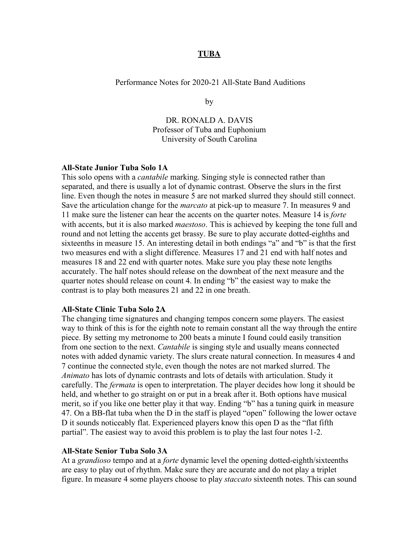## **TUBA**

Performance Notes for 2020-21 All-State Band Auditions

by

DR. RONALD A. DAVIS Professor of Tuba and Euphonium University of South Carolina

## **All-State Junior Tuba Solo 1A**

This solo opens with a *cantabile* marking. Singing style is connected rather than separated, and there is usually a lot of dynamic contrast. Observe the slurs in the first line. Even though the notes in measure 5 are not marked slurred they should still connect. Save the articulation change for the *marcato* at pick-up to measure 7. In measures 9 and 11 make sure the listener can hear the accents on the quarter notes. Measure 14 is *forte* with accents, but it is also marked *maestoso*. This is achieved by keeping the tone full and round and not letting the accents get brassy. Be sure to play accurate dotted-eighths and sixteenths in measure 15. An interesting detail in both endings "a" and "b" is that the first two measures end with a slight difference. Measures 17 and 21 end with half notes and measures 18 and 22 end with quarter notes. Make sure you play these note lengths accurately. The half notes should release on the downbeat of the next measure and the quarter notes should release on count 4. In ending "b" the easiest way to make the contrast is to play both measures 21 and 22 in one breath.

## **All-State Clinic Tuba Solo 2A**

The changing time signatures and changing tempos concern some players. The easiest way to think of this is for the eighth note to remain constant all the way through the entire piece. By setting my metronome to 200 beats a minute I found could easily transition from one section to the next. *Cantabile* is singing style and usually means connected notes with added dynamic variety. The slurs create natural connection. In measures 4 and 7 continue the connected style, even though the notes are not marked slurred. The *Animato* has lots of dynamic contrasts and lots of details with articulation. Study it carefully. The *fermata* is open to interpretation. The player decides how long it should be held, and whether to go straight on or put in a break after it. Both options have musical merit, so if you like one better play it that way. Ending "b" has a tuning quirk in measure 47. On a BB-flat tuba when the D in the staff is played "open" following the lower octave D it sounds noticeably flat. Experienced players know this open D as the "flat fifth partial". The easiest way to avoid this problem is to play the last four notes 1-2.

## **All-State Senior Tuba Solo 3A**

At a *grandioso* tempo and at a *forte* dynamic level the opening dotted-eighth/sixteenths are easy to play out of rhythm. Make sure they are accurate and do not play a triplet figure. In measure 4 some players choose to play *staccato* sixteenth notes. This can sound